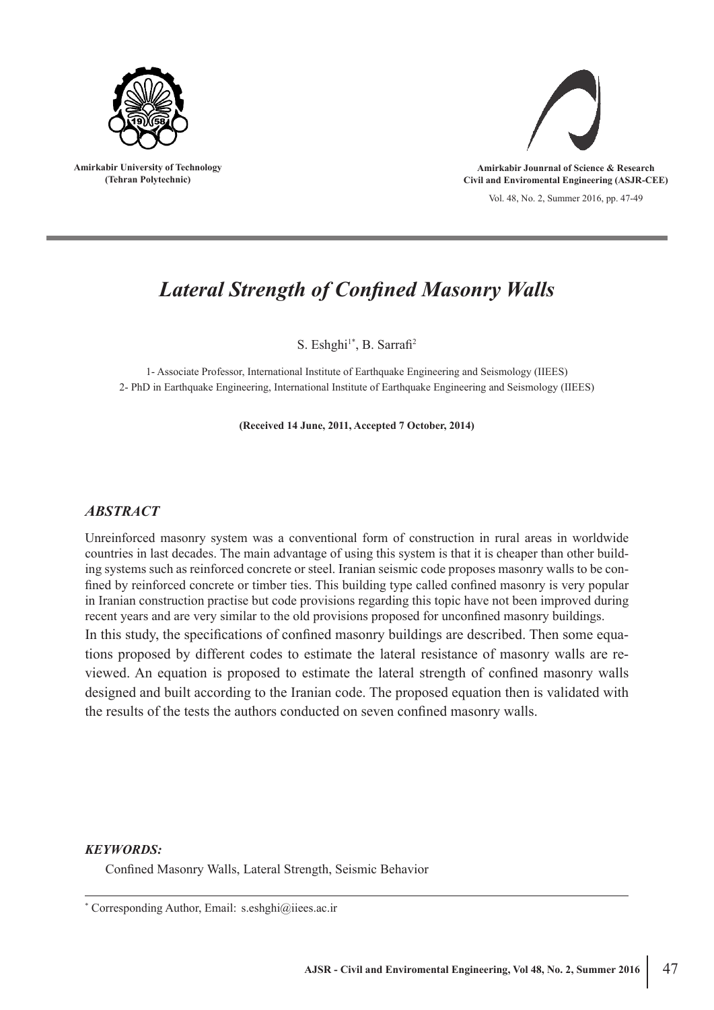

**Amirkabir University of Technology (Tehran Polytechnic)**



**Amirkabir Jounrnal of Science & Research Civil and Enviromental Engineering (ASJR-CEE)**

Vol. 48, No. 2, Summer 2016, pp. 47-49

# *Lateral Strength of Confined Masonry Walls*

S. Eshghi<sup>1\*</sup>, B. Sarrafi<sup>2</sup>

1- Associate Professor, International Institute of Earthquake Engineering and Seismology (IIEES) 2- PhD in Earthquake Engineering, International Institute of Earthquake Engineering and Seismology (IIEES)

**(Received 14 June, 2011, Accepted 7 October, 2014)**

## *ABSTRACT*

Unreinforced masonry system was a conventional form of construction in rural areas in worldwide countries in last decades. The main advantage of using this system is that it is cheaper than other building systems such as reinforced concrete or steel. Iranian seismic code proposes masonry walls to be confined by reinforced concrete or timber ties. This building type called confined masonry is very popular in Iranian construction practise but code provisions regarding this topic have not been improved during recent years and are very similar to the old provisions proposed for unconfined masonry buildings. In this study, the specifications of confined masonry buildings are described. Then some equations proposed by different codes to estimate the lateral resistance of masonry walls are reviewed. An equation is proposed to estimate the lateral strength of confined masonry walls designed and built according to the Iranian code. The proposed equation then is validated with the results of the tests the authors conducted on seven confined masonry walls.

## *KEYWORDS:*

Confined Masonry Walls, Lateral Strength, Seismic Behavior

<sup>\*</sup> Corresponding Author, Email: s.eshghi@iiees.ac.ir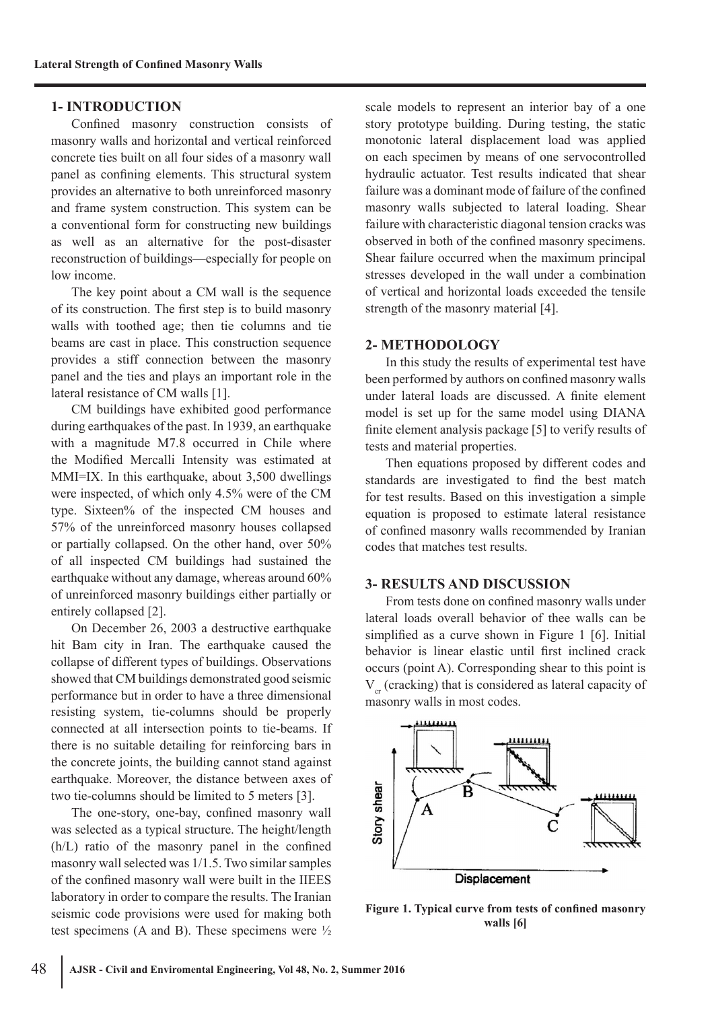## **1- INTRODUCTION**

Confined masonry construction consists of masonry walls and horizontal and vertical reinforced concrete ties built on all four sides of a masonry wall panel as confining elements. This structural system provides an alternative to both unreinforced masonry and frame system construction. This system can be a conventional form for constructing new buildings as well as an alternative for the post-disaster reconstruction of buildings—especially for people on low income.

The key point about a CM wall is the sequence of its construction. The first step is to build masonry walls with toothed age; then tie columns and tie beams are cast in place. This construction sequence provides a stiff connection between the masonry panel and the ties and plays an important role in the lateral resistance of CM walls [1].

CM buildings have exhibited good performance during earthquakes of the past. In 1939, an earthquake with a magnitude M7.8 occurred in Chile where the Modified Mercalli Intensity was estimated at MMI=IX. In this earthquake, about 3,500 dwellings were inspected, of which only 4.5% were of the CM type. Sixteen% of the inspected CM houses and 57% of the unreinforced masonry houses collapsed or partially collapsed. On the other hand, over 50% of all inspected CM buildings had sustained the earthquake without any damage, whereas around 60% of unreinforced masonry buildings either partially or entirely collapsed [2].

On December 26, 2003 a destructive earthquake hit Bam city in Iran. The earthquake caused the collapse of different types of buildings. Observations showed that CM buildings demonstrated good seismic performance but in order to have a three dimensional resisting system, tie-columns should be properly connected at all intersection points to tie-beams. If there is no suitable detailing for reinforcing bars in the concrete joints, the building cannot stand against earthquake. Moreover, the distance between axes of two tie-columns should be limited to 5 meters [3].

The one-story, one-bay, confined masonry wall was selected as a typical structure. The height/length (h/L) ratio of the masonry panel in the confined masonry wall selected was 1/1.5. Two similar samples of the confined masonry wall were built in the IIEES laboratory in order to compare the results. The Iranian seismic code provisions were used for making both test specimens (A and B). These specimens were  $\frac{1}{2}$ 

scale models to represent an interior bay of a one story prototype building. During testing, the static monotonic lateral displacement load was applied on each specimen by means of one servocontrolled hydraulic actuator. Test results indicated that shear failure was a dominant mode of failure of the confined masonry walls subjected to lateral loading. Shear failure with characteristic diagonal tension cracks was observed in both of the confined masonry specimens. Shear failure occurred when the maximum principal stresses developed in the wall under a combination of vertical and horizontal loads exceeded the tensile strength of the masonry material [4].

#### **2- METHODOLOGY**

In this study the results of experimental test have been performed by authors on confined masonry walls under lateral loads are discussed. A finite element model is set up for the same model using DIANA finite element analysis package [5] to verify results of tests and material properties.

Then equations proposed by different codes and standards are investigated to find the best match for test results. Based on this investigation a simple equation is proposed to estimate lateral resistance of confined masonry walls recommended by Iranian codes that matches test results.

## **3- RESULTS AND DISCUSSION**

From tests done on confined masonry walls under lateral loads overall behavior of thee walls can be simplified as a curve shown in Figure 1 [6]. Initial behavior is linear elastic until first inclined crack occurs (point A). Corresponding shear to this point is  $V_c$  (cracking) that is considered as lateral capacity of masonry walls in most codes.



**Figure 1. Typical curve from tests of confined masonry walls [6]**